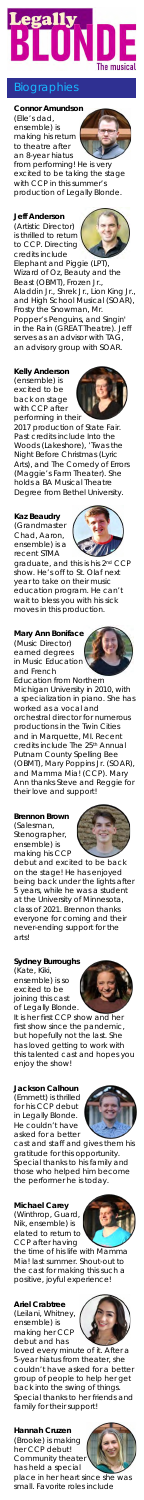

### <u>graph</u>



ensemble) is making his return to theatre after an 8-year hiatus

from performing! He is very excited to be taking the stage with CCP in this summer's production of *Legally Blonde*.

**Jeff Anderson**  (Artistic Director) is thrilled to return to CCP. Directing credits include

*Elephant and Piggie* (LPT), *Wizard of Oz*, *Beauty and the Beast* (OBMT), *Frozen Jr.*, *Aladdin Jr.*, *Shrek Jr.*, *Lion King Jr.,* and *High School Musical* (SOAR), *Frosty the Snowman*, *Mr. Popper's Penguins,* and *Singin' in the Rain* (GREAT Theatre). Jeff serves as an advisor with TAG, an advisory group with SOAR.

graduate, and this is his 2nd CCP show. He's off to St. Olaf next year to take on their music education program. He can't wait to bless you with his sick moves in this production.

**Kelly Anderson**  (ensemble) is excited to be back on stage with CCP after performing in their

2017 production of *State Fair*. Past credits include *Into the Woods* (Lakeshore), '*Twas the Night Before Christmas* (Lyric Arts), and *The Comedy of Errors* (Maggie's Farm Theater). She holds a BA Musical Theatre Degree from Bethel University.

### **Kaz Beaudry**

(Grandmaster Chad, Aaron, ensemble) is a recent STMA

### **Mary Ann Boniface**

(Music Director) earned degrees in Music Education and French

(Winthrop, Guard, Nik, ensemble) is elated to return to CCP after having

Education from Northern Michigan University in 2010, with a specialization in piano. She has worked as a vocal and

**Hannah Cruzen** (Brooke) is making her CCP debut! Community theater has held a special<br>place in her heart

orchestral director for numerous productions in the Twin Cities and in Marquette, MI. Recent credits include *The 25th Annual Putnam County Spelling Bee* (OBMT), *Mary Poppins Jr.* (SOAR), and *Mamma Mia!* (CCP). Mary Ann thanks Steve and Reggie for their love and support!

heart since she was small. Favorite roles include









**Brennon Brown** (Salesman, Stenographer, ensemble) is











making his CCP debut and excited to be back on the stage! He has enjoyed being back under the lights after 5 years, while he was a student at the University of Minnesota, class of 2021. Brennon thanks everyone for coming and their never-ending support for the arts!

### **Sydney Burroughs**

(Kate, Kiki, ensemble) is so excited to be joining this cast of *Legally Blonde*.

It is her first CCP show and her first show since the pandemic but hopefully not the last. She has loved getting to work with this talented cast and hopes you enjoy the show!

#### **Jackson Calhoun**

(Emmett) is thrilled for his CCP debut in *Legally Blonde*. He couldn't have asked for a better

cast and staff and gives them his gratitude for this opportunity. Special thanks to his family and those who helped him become the performer he is today.

# **Michael Carey**

the time of his life with *Mamma Mia!* last summer. Shout-out to the cast for making this such a positive, joyful experience!

### **Ariel Crabtree**

(Leilani, Whitney, ensemble) is making her CCP debut and has

loved every minute of it. After a 5-year hiatus from theater, she couldn't have asked for a better group of people to help her get back into the swing of things. Special thanks to her friends and family for their support!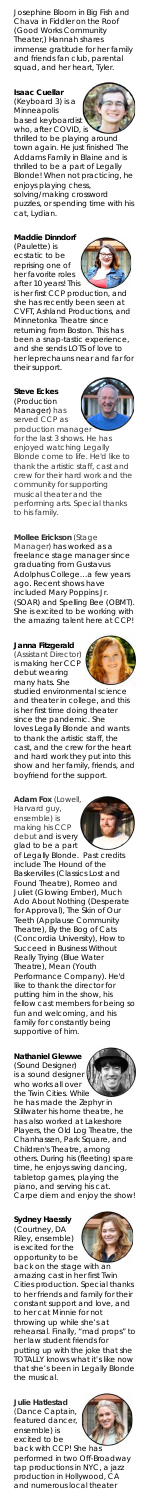Josephine Bloom in *Big Fish* and Chava in *Fiddler on the Roof* (Good Works Community Theater,) Hannah shares immense gratitude for her family and friends fan club, parental squad, and her heart, Tyler.

# **Isaac Cuellar**

(Keyboard 3) is a Minneapolis based keyboardist

who, after COVID, is thrilled to be playing around town again. He just finished *The Addams Family* in Blaine and is thrilled to be a part of *Legally Blonde*! When not practicing, he enjoys playing chess,

solving/making crossword puzzles, or spending time with his cat, Lydian.

### **Maddie Dinndorf**

(Paulette) is ecstatic to be reprising one of her favorite roles after 10 years! This

is her first CCP production, and she has recently been seen at CVFT, Ashland Productions, and Minnetonka Theatre since returning from Boston. This has been a snap-tastic experience, and she sends LOTS of love to her leprechauns near and far for their support.

#### **Steve Eckes**  (Production Manager) has served CCP as

studied environmental sciend and theater in college, and this is her first time doing theater since the pandemic. She loves *Legally Blonde* and wants to thank the artistic staff, the cast, and the crew for the heart and hard work they put into this show and her family, friends, and boyfriend for the support.

production manager for the last 3 shows. He has enjoyed watching *Legally Blonde* come to life. He'd like to thank the artistic staff, cast and crew for their hard work and the community for supporting musical theater and the performing arts. Special thanks to his family.

**Mollee Erickson** (Stage Manager) has worked as a freelance stage manager since graduating from Gustavus Adolphus College…a few years ago. Recent shows have included *Mary Poppins Jr.* (SOAR) and *Spelling Bee* (OBMT). She is excited to be working with the amazing talent here at CCP!

# **Janna Fitzgerald**

(Assistant Director) is making her CCP debut wearing many hats. She

back with CCP! She has performed in two Off-Broadway tap productions in NYC, a jazz production in Hollywood, CA and numerous local theater





**Adam Fox** (Lowell, Harvard guy, ensemble) is making his CCP debut and is very glad to be a part







of *Legally Blonde*. Past credits include *The Hound of the Baskervilles* (Classics Lost and Found Theatre), *Romeo and Juliet* (Glowing Ember), *Much Ado About Nothing* (Desperate for Approval), *The Skin of Our Teeth* (Applause Community Theatre), *By the Bog of Cats* (Concordia University*), How to Succeed in Business Without Really Trying* (Blue Water Theatre), *Mean* (Youth Performance Company). He'd like to thank the director for putting him in the show, his fellow cast members for being so fun and welcoming, and his family for constantly being supportive of him.

#### **Nathaniel Glewwe**

(Sound Designer) is a sound designer who works all over the Twin Cities. While

he has made the Zephyr in Stillwater his home theatre, he has also worked at Lakeshore Players, the Old Log Theatre, the Chanhassen, Park Square, and Children's Theatre, among others. During his (fleeting) spare time, he enjoys swing dancing, tabletop games, playing the piano, and serving his cat. Carpe diem and enjoy the show!

### **Sydney Haessly**

(Courtney, DA Riley, ensemble) is excited for the opportunity to be

back on the stage with an amazing cast in her first Twin Cities production. Special thanks to her friends and family for their constant support and love, and to her cat Minnie for not throwing up while she's at rehearsal. Finally, "mad props" to her law student friends for putting up with the joke that she TOTALLY knows what it's like now that she's been in *Legally Blonde* the musical.

**Julie Hatlestad** (Dance Captain, featured dancer, ensemble) is excited to be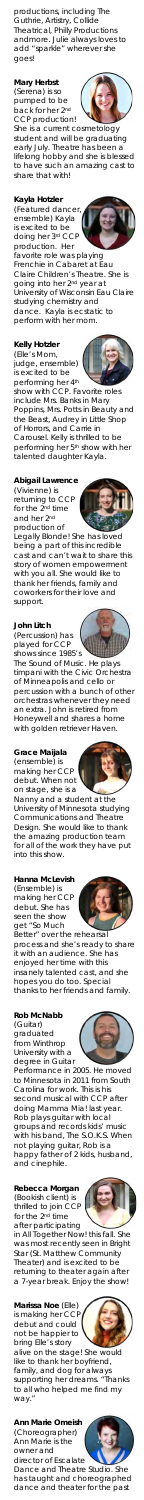productions, including The Guthrie, Artistry, Collide Theatrical, Philly Productions andmore. Julie always loves to add "sparkle" wherever she goes!

**Mary Herbst** (Serena) is so pumped to be back for her 2nd CCP production!

She is a current cosmetology student and will be graduating early July. Theatre has been a lifelong hobby and she is blessed to have such an amazing cast to share that with!

**Kayla Hotzler**

(Featured dancer, ensemble) Kayla is excited to be<br>doing her 3<sup>rd</sup> CCP doing her 3rd C production. Her .<br>favorite role was playing Frenchie in *Cabaret* at Eau Claire Children's Theatre. She is

going into her 2nd year at University of Wisconsin Eau Claire studying chemistry and dance. Kayla is ecstatic to perform with her mom.

# **Kelly Hotzler**

(Elle's Mom, judge, ensemble) is excited to be performing her 4th

on stage, she is a Nanny and a student at the University of Minnesota studying Communications and Theatre Design. She would like to thank the amazing production team work they have put for all of the v<br>into this show.









show with CCP. Favorite roles include Mrs. Banks in *Mary Poppins*, Mrs. Potts in *Beauty and the Beast,* Audrey in *Little Shop of Horrors*, and Carrie in *Carousel.* Kelly is thrilled to be performing her 5<sup>th</sup> show with her talented daughter Kayla.

## **Abigail Lawrence**

(Vivienne) is returning to CCP for the 2nd time and her 2nd production of

*Legally Blonde*! She has loved being a part of this incredible cast and can't wait to share this story of women empowerment with you all. She would like to thank her friends, family and coworkers for their love and support.

### **John Litch**

(Percussion) has played for CCP shows since 1985's

alive on the stage! She would like to thank her boyfriend, family, and dog for always supporting her dreams. "Thanks to all who helped me find my way.

*The Sound of Music*. He plays timpani with the Civic Orchestra of Minneapolis and cello or percussion with a bunch of other orchestras whenever they need an extra. John is retired from Honeywell and shares a home with golden retriever Haven.

**Grace Maijala** (ensemble) is making her CCP debut. When not

### **Hanna McLevish** (Ensemble) is

making her CCP debut. She has seen the show get "So Much Better" over the rehearsal process and she's ready to share it with an audience. She has enjoyed her time with this insanely talented cast, and she hopes you do too. Special thanks to her friends and family.

#### **Rob McNabb**

(Guitar) graduated from Winthrop University with a degree in Guitar

Performance in 2005. He moved to Minnesota in 2011 from South Carolina for work. This is his second musical with CCP after doing *Mamma Mia!* last year. Rob plays guitar with local groups and records kids' music with his band, The S.O.K.S. When not playing guitar, Rob is a happy father of 2 kids, husband, and cinephile.

### **Rebecca Morgan**

(Bookish client) is thrilled to join CCP for the 2nd time after participating

in *All Together Now!* this fall. She was most recently seen in *Bright Star* (St. Matthew Community Theater) and is excited to be returning to theater again after a 7-year break. Enjoy the show!

#### **Marissa Noe** (Elle) is making her CCP debut and could not be happier to bring Elle's story

**Ann Marie Omeish** (Choreographer) Ann Marie is the owner and director of Escalate

Dance and Theatre Studio. She has taught and choreographed dance and theater for the past







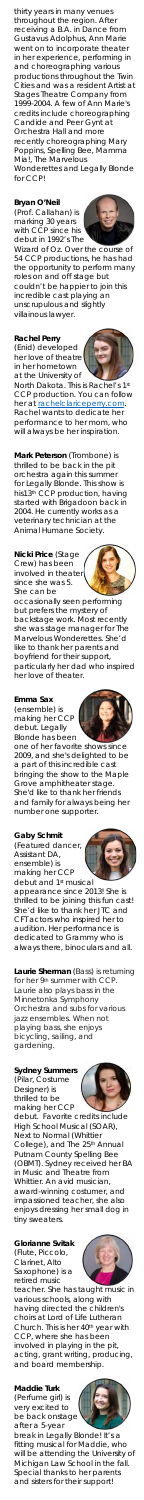thirty years in many venues throughout the region. After receiving a B.A. in Dance from Gustavus Adolphus, Ann Marie went on to incorporate theater in her experience, performing in and choreographing various productions throughout the Twin Cities and was a resident Artist at Stages Theatre Company from 1999-2004. A few of Ann Marie's credits include choreographing *Candide* and *Peer Gynt* at Orchestra Hall and more recently choreographing *Mary Poppins*, *Spelling Bee*, *Mamma Mia!*, *The Marvelous Wonderettes* and *Legally Blonde* for CCP!

*Wizard of Oz. Over the course* 54 CCP productions, he has had the opportunity to perform many roles on and off stage but couldn't be happier to join this incredible cast playing an unscrupulous and slightly villainous lawyer.

#### **Bryan O'Neil**

North Dakota. This is Rachel's 1st CCP production. You can follo her at rachelclariceperry.com Rachel wants to dedicate her performance to her mom, who will always be her inspiration.

(Prof. Callahan) is marking 30 years with CCP since his debut in 1992's *The*

### **Rachel Perry**

(Enid) developed her love of theatre in her hometown at the University of

**Gaby Schmit** Caby Served dancer,









**Mark Peterson** (Trombone) is thrilled to be back in the pit orchestra again this summer for *Legally Blonde.* This show is his13th CCP production, having started with *Brigadoon* back in 2004. He currently works as a veterinary technician at the Animal Humane Society.

**Nicki Price** (Stage Crew) has been involved in theater since she was 5. She can be

occasionally seen performing but prefers the mystery of backstage work. Most recently she was stage manager for *The Marvelous Wonderettes*. She'd like to thank her parents and boyfriend for their support, particularly her dad who inspired her love of theater.

### **Emma Sax**

(ensemble) is making her CCP debut. *Legally Blonde* has been one of her favorite shows since 2009, and she's delighted to be a part of this incredible cast bringing the show to the Maple Grove amphitheater stage. She'd like to thank her friends and family for always being her

number one supporter.

Assistant DA, ensemble) is making her CCP debut and 1<sup>st</sup> musical appearance since 2013! She is thrilled to be joining this fun cast! She'd like to thank her JTC and CFT actors who inspired her to audition. Her performance is dedicated to Grammy who is always there, binoculars and all.

**Laurie Sherman** (Bass) is returning for her 9th summer with CCP. Laurie also plays bass in the Minnetonka Symphony Orchestra and subs for various jazz ensembles. When not playing bass, she enjoys bicycling, sailing, and gardening.

### **Sydney Summers**

(Pilar, Costume Designer) is thrilled to be making her CCP debut. Favorite credits include

*High School Musical* (SOAR), *Next to Normal* (Whittier College), and *The 25th Annual Putnam County Spelling Bee* (OBMT). Sydney received her BA in Music and Theatre from Whittier. An avid musician, award-winning costumer, and impassioned teacher, she also enjoys dressing her small dog in tiny sweaters.

### **Glorianne Svitak**

(Flute, Piccolo, Clarinet, Alto Saxophone) is a retired music

teacher. She has taught music in various schools, along with having directed the children's choirs at Lord of Life Lutheran Church. This is her 40<sup>th</sup> year with CCP, where she has been involved in playing in the pit, acting, grant writing, producing, and board membership.

# **Maddie Turk**

(Perfume girl) is very excited to be back onstage after a 5-year

break in *Legally Blonde*! It's a fitting musical for Maddie, who will be attending the University of Michigan Law School in the fall. Special thanks to her parents and sisters for their support!